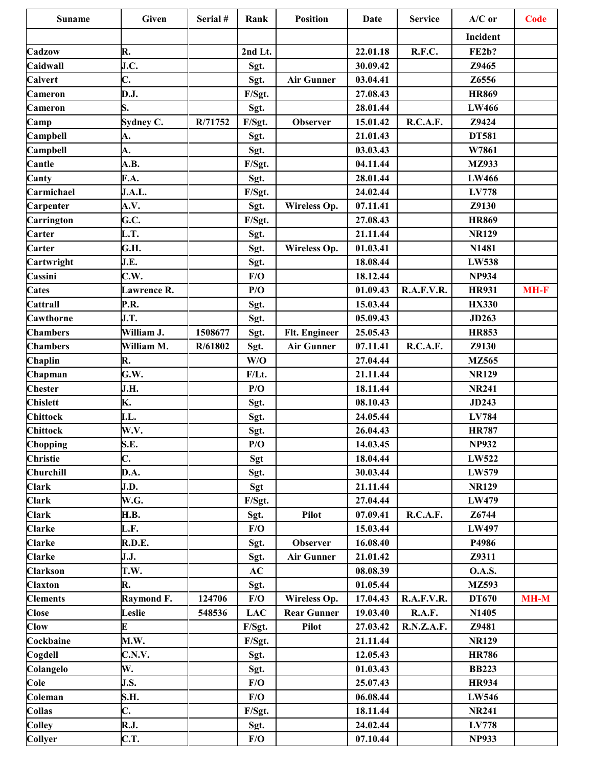| <b>Suname</b>   | Given       | Serial # | Rank       | <b>Position</b>    | Date     | <b>Service</b>  | $A/C$ or      | <b>Code</b> |
|-----------------|-------------|----------|------------|--------------------|----------|-----------------|---------------|-------------|
|                 |             |          |            |                    |          |                 | Incident      |             |
| Cadzow          | R.          |          | 2nd Lt.    |                    | 22.01.18 | R.F.C.          | <b>FE2b?</b>  |             |
| Caidwall        | J.C.        |          | Sgt.       |                    | 30.09.42 |                 | Z9465         |             |
| Calvert         | C.          |          | Sgt.       | <b>Air Gunner</b>  | 03.04.41 |                 | Z6556         |             |
| <b>Cameron</b>  | D.J.        |          | F/Sgt.     |                    | 27.08.43 |                 | <b>HR869</b>  |             |
| Cameron         | S.          |          | Sgt.       |                    | 28.01.44 |                 | <b>LW466</b>  |             |
| Camp            | Sydney C.   | R/71752  | F/Sgt.     | Observer           | 15.01.42 | R.C.A.F.        | Z9424         |             |
| Campbell        | A.          |          | Sgt.       |                    | 21.01.43 |                 | <b>DT581</b>  |             |
| Campbell        | A.          |          | Sgt.       |                    | 03.03.43 |                 | W7861         |             |
| Cantle          | A.B.        |          | F/Sgt.     |                    | 04.11.44 |                 | <b>MZ933</b>  |             |
| Canty           | F.A.        |          | Sgt.       |                    | 28.01.44 |                 | <b>LW466</b>  |             |
| Carmichael      | J.A.L.      |          | F/Sgt.     |                    | 24.02.44 |                 | <b>LV778</b>  |             |
| Carpenter       | A.V.        |          | Sgt.       | Wireless Op.       | 07.11.41 |                 | Z9130         |             |
| Carrington      | G.C.        |          | F/Sgt.     |                    | 27.08.43 |                 | <b>HR869</b>  |             |
| Carter          | L.T.        |          | Sgt.       |                    | 21.11.44 |                 | <b>NR129</b>  |             |
| Carter          | G.H.        |          | Sgt.       | Wireless Op.       | 01.03.41 |                 | N1481         |             |
| Cartwright      | J.E.        |          | Sgt.       |                    | 18.08.44 |                 | <b>LW538</b>  |             |
| Cassini         | C.W.        |          | F/O        |                    | 18.12.44 |                 | <b>NP934</b>  |             |
| <b>Cates</b>    | Lawrence R. |          | P/O        |                    | 01.09.43 | R.A.F.V.R.      | <b>HR931</b>  | <b>MH-F</b> |
| Cattrall        | P.R.        |          | Sgt.       |                    | 15.03.44 |                 | <b>HX330</b>  |             |
| Cawthorne       | J.T.        |          | Sgt.       |                    | 05.09.43 |                 | <b>JD263</b>  |             |
| <b>Chambers</b> | William J.  | 1508677  | Sgt.       | Flt. Engineer      | 25.05.43 |                 | <b>HR853</b>  |             |
| <b>Chambers</b> | William M.  | R/61802  | Sgt.       | <b>Air Gunner</b>  | 07.11.41 | R.C.A.F.        | Z9130         |             |
| Chaplin         | R.          |          | W/O        |                    | 27.04.44 |                 | MZ565         |             |
| Chapman         | G.W.        |          | F/Lt.      |                    | 21.11.44 |                 | <b>NR129</b>  |             |
| <b>Chester</b>  | J.H.        |          | P/O        |                    | 18.11.44 |                 | <b>NR241</b>  |             |
| <b>Chislett</b> | K.          |          | Sgt.       |                    | 08.10.43 |                 | <b>JD243</b>  |             |
| <b>Chittock</b> | I.L.        |          | Sgt.       |                    | 24.05.44 |                 | LV784         |             |
| <b>Chittock</b> | W.V.        |          | Sgt.       |                    | 26.04.43 |                 | <b>HR787</b>  |             |
| Chopping        | S.E.        |          | P/O        |                    | 14.03.45 |                 | <b>NP932</b>  |             |
| Christie        | C.          |          | Sgt        |                    | 18.04.44 |                 | LW522         |             |
| Churchill       | D.A.        |          | Sgt.       |                    | 30.03.44 |                 | LW579         |             |
| <b>Clark</b>    | J.D.        |          | Sgt        |                    | 21.11.44 |                 | <b>NR129</b>  |             |
| <b>Clark</b>    | W.G.        |          | F/Sgt.     |                    | 27.04.44 |                 | LW479         |             |
| <b>Clark</b>    | <b>H.B.</b> |          | Sgt.       | <b>Pilot</b>       | 07.09.41 | <b>R.C.A.F.</b> | Z6744         |             |
| <b>Clarke</b>   | L.F.        |          | F/O        |                    | 15.03.44 |                 | LW497         |             |
| <b>Clarke</b>   | R.D.E.      |          | Sgt.       | Observer           | 16.08.40 |                 | P4986         |             |
| <b>Clarke</b>   | J.J.        |          | Sgt.       | <b>Air Gunner</b>  | 21.01.42 |                 | Z9311         |             |
| <b>Clarkson</b> | T.W.        |          | AC         |                    | 08.08.39 |                 | <b>O.A.S.</b> |             |
| <b>Claxton</b>  | R.          |          | Sgt.       |                    | 01.05.44 |                 | MZ593         |             |
| <b>Clements</b> | Raymond F.  | 124706   | F/O        | Wireless Op.       | 17.04.43 | R.A.F.V.R.      | DT670         | $MH-M$      |
| <b>Close</b>    | Leslie      | 548536   | <b>LAC</b> | <b>Rear Gunner</b> | 19.03.40 | R.A.F.          | N1405         |             |
| <b>Clow</b>     | E           |          | F/Sgt.     | <b>Pilot</b>       | 27.03.42 | R.N.Z.A.F.      | Z9481         |             |
| Cockbaine       | M.W.        |          | F/Sgt.     |                    | 21.11.44 |                 | <b>NR129</b>  |             |
| Cogdell         | C.N.V.      |          | Sgt.       |                    | 12.05.43 |                 | <b>HR786</b>  |             |
| Colangelo       | W.          |          | Sgt.       |                    | 01.03.43 |                 | <b>BB223</b>  |             |
| Cole            | J.S.        |          | F/O        |                    | 25.07.43 |                 | <b>HR934</b>  |             |
| Coleman         | S.H.        |          | F/O        |                    | 06.08.44 |                 | <b>LW546</b>  |             |
| Collas          | C.          |          | F/Sgt.     |                    | 18.11.44 |                 | <b>NR241</b>  |             |
| <b>Colley</b>   | R.J.        |          | Sgt.       |                    | 24.02.44 |                 | <b>LV778</b>  |             |
| Collyer         | C.T.        |          | F/O        |                    | 07.10.44 |                 | <b>NP933</b>  |             |